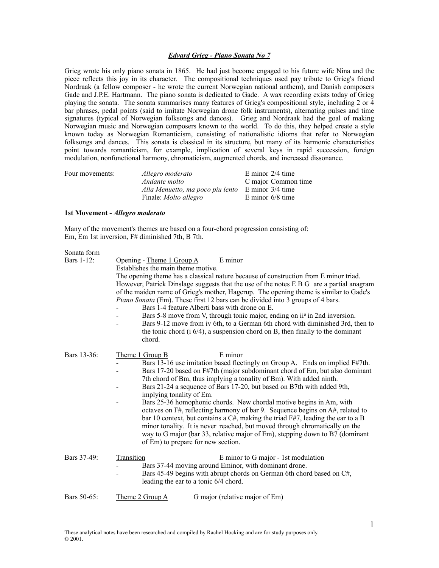# *Edvard Grieg - Piano Sonata No 7*

Grieg wrote his only piano sonata in 1865. He had just become engaged to his future wife Nina and the piece reflects this joy in its character. The compositional techniques used pay tribute to Grieg's friend Nordraak (a fellow composer - he wrote the current Norwegian national anthem), and Danish composers Gade and J.P.E. Hartmann. The piano sonata is dedicated to Gade. A wax recording exists today of Grieg playing the sonata. The sonata summarises many features of Grieg's compositional style, including 2 or 4 bar phrases, pedal points (said to imitate Norwegian drone folk instruments), alternating pulses and time signatures (typical of Norwegian folksongs and dances). Grieg and Nordraak had the goal of making Norwegian music and Norwegian composers known to the world. To do this, they helped create a style known today as Norwegian Romanticism, consisting of nationalistic idioms that refer to Norwegian folksongs and dances. This sonata is classical in its structure, but many of its harmonic characteristics point towards romanticism, for example, implication of several keys in rapid succession, foreign modulation, nonfunctional harmony, chromaticism, augmented chords, and increased dissonance.

| Four movements: | Allegro moderato                 | E minor $2/4$ time  |
|-----------------|----------------------------------|---------------------|
|                 | Andante molto                    | C major Common time |
|                 | Alla Menuetto, ma poco piu lento | E minor 3/4 time    |
|                 | Finale: <i>Molto allegro</i>     | E minor $6/8$ time  |

### **1st Movement -** *Allegro moderato*

Many of the movement's themes are based on a four-chord progression consisting of: Em, Em 1st inversion, F# diminished 7th, B 7th.

# Sonata form<br>Bars  $1, 12$

| <b>Bars 1-12:</b> | Opening - Theme 1 Group A<br>E minor<br>Establishes the main theme motive.<br>The opening theme has a classical nature because of construction from E minor triad.<br>However, Patrick Dinslage suggests that the use of the notes E B G are a partial anagram                                                                                                                                                                                                                                                                                                                                                                                                                                                                                                                                                               |
|-------------------|------------------------------------------------------------------------------------------------------------------------------------------------------------------------------------------------------------------------------------------------------------------------------------------------------------------------------------------------------------------------------------------------------------------------------------------------------------------------------------------------------------------------------------------------------------------------------------------------------------------------------------------------------------------------------------------------------------------------------------------------------------------------------------------------------------------------------|
|                   | of the maiden name of Grieg's mother, Hagerup. The opening theme is similar to Gade's<br><i>Piano Sonata</i> (Em). These first 12 bars can be divided into 3 groups of 4 bars.<br>Bars 1-4 feature Alberti bass with drone on E.<br>Bars 5-8 move from V, through tonic major, ending on ii <sup>o</sup> in 2nd inversion.<br>Bars 9-12 move from iv 6th, to a German 6th chord with diminished 3rd, then to<br>the tonic chord $(i 6/4)$ , a suspension chord on B, then finally to the dominant<br>chord.                                                                                                                                                                                                                                                                                                                  |
| Bars 13-36:       | Theme 1 Group B<br>E minor<br>Bars 13-16 use imitation based fleetingly on Group A. Ends on implied F#7th.<br>Bars 17-20 based on F#7th (major subdominant chord of Em, but also dominant<br>7th chord of Bm, thus implying a tonality of Bm). With added ninth.<br>Bars 21-24 a sequence of Bars 17-20, but based on B7th with added 9th,<br>implying tonality of Em.<br>Bars 25-36 homophonic chords. New chordal motive begins in Am, with<br>octaves on F#, reflecting harmony of bar 9. Sequence begins on A#, related to<br>bar 10 context, but contains a $C#$ , making the triad $F#7$ , leading the ear to a B<br>minor tonality. It is never reached, but moved through chromatically on the<br>way to G major (bar 33, relative major of Em), stepping down to B7 (dominant<br>of Em) to prepare for new section. |
| Bars 37-49:       | Transition<br>E minor to G major - 1st modulation<br>Bars 37-44 moving around Eminor, with dominant drone.<br>Bars 45-49 begins with abrupt chords on German 6th chord based on C#,<br>leading the ear to a tonic 6/4 chord.                                                                                                                                                                                                                                                                                                                                                                                                                                                                                                                                                                                                 |
| Bars 50-65:       | Theme 2 Group A<br>G major (relative major of Em)                                                                                                                                                                                                                                                                                                                                                                                                                                                                                                                                                                                                                                                                                                                                                                            |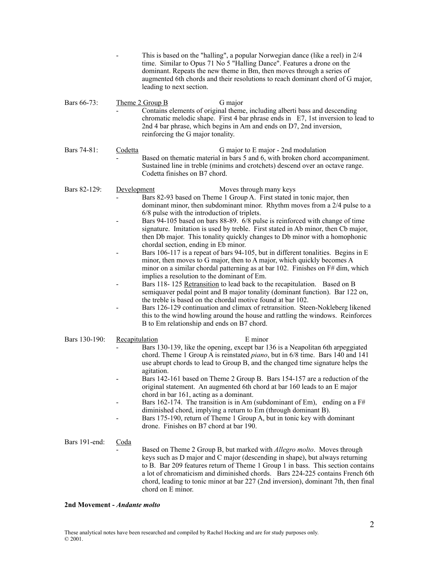|               |                | This is based on the "halling", a popular Norwegian dance (like a reel) in 2/4<br>time. Similar to Opus 71 No 5 "Halling Dance". Features a drone on the<br>dominant. Repeats the new theme in Bm, then moves through a series of<br>augmented 6th chords and their resolutions to reach dominant chord of G major,<br>leading to next section.                                                                                                                                                                                                                                                                                                                                                                                                                                                                                                                                                                                                                                                                                                                                                                                                                                                                                                                       |
|---------------|----------------|-----------------------------------------------------------------------------------------------------------------------------------------------------------------------------------------------------------------------------------------------------------------------------------------------------------------------------------------------------------------------------------------------------------------------------------------------------------------------------------------------------------------------------------------------------------------------------------------------------------------------------------------------------------------------------------------------------------------------------------------------------------------------------------------------------------------------------------------------------------------------------------------------------------------------------------------------------------------------------------------------------------------------------------------------------------------------------------------------------------------------------------------------------------------------------------------------------------------------------------------------------------------------|
| Bars 66-73:   |                | Theme 2 Group B<br>G major<br>Contains elements of original theme, including alberti bass and descending<br>chromatic melodic shape. First 4 bar phrase ends in E7, 1st inversion to lead to<br>2nd 4 bar phrase, which begins in Am and ends on D7, 2nd inversion,<br>reinforcing the G major tonality.                                                                                                                                                                                                                                                                                                                                                                                                                                                                                                                                                                                                                                                                                                                                                                                                                                                                                                                                                              |
| Bars 74-81:   | Codetta        | G major to E major - 2nd modulation<br>Based on thematic material in bars 5 and 6, with broken chord accompaniment.<br>Sustained line in treble (minims and crotchets) descend over an octave range.<br>Codetta finishes on B7 chord.                                                                                                                                                                                                                                                                                                                                                                                                                                                                                                                                                                                                                                                                                                                                                                                                                                                                                                                                                                                                                                 |
| Bars 82-129:  | Development    | Moves through many keys<br>Bars 82-93 based on Theme 1 Group A. First stated in tonic major, then<br>dominant minor, then subdominant minor. Rhythm moves from a 2/4 pulse to a<br>6/8 pulse with the introduction of triplets.<br>Bars 94-105 based on bars 88-89. 6/8 pulse is reinforced with change of time<br>signature. Imitation is used by treble. First stated in Ab minor, then Cb major,<br>then Db major. This tonality quickly changes to Db minor with a homophonic<br>chordal section, ending in Eb minor.<br>Bars 106-117 is a repeat of bars 94-105, but in different tonalities. Begins in E<br>minor, then moves to G major, then to A major, which quickly becomes A<br>minor on a similar chordal patterning as at bar 102. Finishes on F# dim, which<br>implies a resolution to the dominant of Em.<br>Bars 118-125 Retransition to lead back to the recapitulation. Based on B<br>semiquaver pedal point and B major tonality (dominant function). Bar 122 on,<br>the treble is based on the chordal motive found at bar 102.<br>Bars 126-129 continuation and climax of retransition. Steen-Nokleberg likened<br>this to the wind howling around the house and rattling the windows. Reinforces<br>B to Em relationship and ends on B7 chord. |
| Bars 130-190: | Recapitulation | E minor<br>Bars 130-139, like the opening, except bar 136 is a Neapolitan 6th arpeggiated<br>chord. Theme 1 Group A is reinstated <i>piano</i> , but in 6/8 time. Bars 140 and 141<br>use abrupt chords to lead to Group B, and the changed time signature helps the<br>agitation.<br>Bars 142-161 based on Theme 2 Group B. Bars 154-157 are a reduction of the<br>original statement. An augmented 6th chord at bar 160 leads to an E major<br>chord in bar 161, acting as a dominant.<br>Bars 162-174. The transition is in Am (subdominant of Em), ending on a $F#$<br>diminished chord, implying a return to Em (through dominant B).<br>Bars 175-190, return of Theme 1 Group A, but in tonic key with dominant<br>drone. Finishes on B7 chord at bar 190.                                                                                                                                                                                                                                                                                                                                                                                                                                                                                                      |
| Bars 191-end: | <u>Coda</u>    | Based on Theme 2 Group B, but marked with <i>Allegro molto</i> . Moves through<br>keys such as D major and C major (descending in shape), but always returning<br>to B. Bar 209 features return of Theme 1 Group 1 in bass. This section contains<br>a lot of chromaticism and diminished chords. Bars 224-225 contains French 6th<br>chord, leading to tonic minor at bar 227 (2nd inversion), dominant 7th, then final<br>chord on E minor.                                                                                                                                                                                                                                                                                                                                                                                                                                                                                                                                                                                                                                                                                                                                                                                                                         |

# **2nd Movement -** *Andante molto*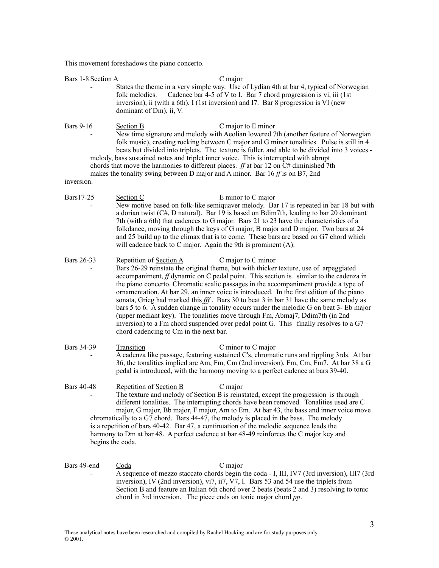This movement foreshadows the piano concerto.

| Bars 1-8 Section A                    | C major                                                                                                                                                                                                                                                                                                                                                                                                                                                                                                                                                                                                                                                                                                                                                                                                                    |
|---------------------------------------|----------------------------------------------------------------------------------------------------------------------------------------------------------------------------------------------------------------------------------------------------------------------------------------------------------------------------------------------------------------------------------------------------------------------------------------------------------------------------------------------------------------------------------------------------------------------------------------------------------------------------------------------------------------------------------------------------------------------------------------------------------------------------------------------------------------------------|
|                                       | States the theme in a very simple way. Use of Lydian 4th at bar 4, typical of Norwegian<br>Cadence bar 4-5 of V to I. Bar 7 chord progression is vi, iii (1st)<br>folk melodies.<br>inversion), ii (with a 6th), I (1st inversion) and I7. Bar 8 progression is VI (new<br>dominant of Dm), ii, V.                                                                                                                                                                                                                                                                                                                                                                                                                                                                                                                         |
| <b>Bars 9-16</b><br>inversion.        | <b>Section B</b><br>C major to E minor<br>New time signature and melody with Aeolian lowered 7th (another feature of Norwegian<br>folk music), creating rocking between C major and G minor tonalities. Pulse is still in 4<br>beats but divided into triplets. The texture is fuller, and able to be divided into 3 voices -<br>melody, bass sustained notes and triplet inner voice. This is interrupted with abrupt<br>chords that move the harmonies to different places. $ff$ at bar 12 on C# diminished 7th<br>makes the tonality swing between D major and A minor. Bar $16ff$ is on B7, 2nd                                                                                                                                                                                                                        |
| Bars17-25                             | E minor to C major<br>Section C<br>New motive based on folk-like semiquaver melody. Bar 17 is repeated in bar 18 but with<br>a dorian twist (C#, D natural). Bar 19 is based on Bdim7th, leading to bar 20 dominant<br>7th (with a 6th) that cadences to G major. Bars 21 to 23 have the characteristics of a<br>folkdance, moving through the keys of G major, B major and D major. Two bars at 24<br>and 25 build up to the climax that is to come. These bars are based on G7 chord which<br>will cadence back to C major. Again the 9th is prominent (A).                                                                                                                                                                                                                                                              |
| Bars 26-33                            | Repetition of Section A<br>C major to C minor<br>Bars 26-29 reinstate the original theme, but with thicker texture, use of arpeggiated<br>accompaniment, f dynamic on C pedal point. This section is similar to the cadenza in<br>the piano concerto. Chromatic scalic passages in the accompaniment provide a type of<br>ornamentation. At bar 29, an inner voice is introduced. In the first edition of the piano<br>sonata, Grieg had marked this fff. Bars 30 to beat 3 in bar 31 have the same melody as<br>bars 5 to 6. A sudden change in tonality occurs under the melodic G on beat 3- Eb major<br>(upper mediant key). The tonalities move through Fm, Abmaj7, Ddim7th (in 2nd<br>inversion) to a Fm chord suspended over pedal point G. This finally resolves to a G7<br>chord cadencing to Cm in the next bar. |
| Bars 34-39                            | C minor to C major<br><b>Transition</b><br>A cadenza like passage, featuring sustained C's, chromatic runs and rippling 3rds. At bar<br>36, the tonalities implied are Am, Fm, Cm (2nd inversion), Fm, Cm, Fm7. At bar 38 a G<br>pedal is introduced, with the harmony moving to a perfect cadence at bars 39-40.                                                                                                                                                                                                                                                                                                                                                                                                                                                                                                          |
| <b>Bars 40-48</b><br>begins the coda. | Repetition of Section B<br>C major<br>The texture and melody of Section B is reinstated, except the progression is through<br>different tonalities. The interrupting chords have been removed. Tonalities used are C<br>major, G major, Bb major, F major, Am to Em. At bar 43, the bass and inner voice move<br>chromatically to a G7 chord. Bars 44-47, the melody is placed in the bass. The melody<br>is a repetition of bars 40-42. Bar 47, a continuation of the melodic sequence leads the<br>harmony to Dm at bar 48. A perfect cadence at bar 48-49 reinforces the C major key and                                                                                                                                                                                                                                |
| Bars 49-end                           | C major<br>Coda<br>A sequence of mezzo staccato chords begin the coda - I, III, IV7 (3rd inversion), III7 (3rd<br>inversion), IV (2nd inversion), vi7, ii7, V7, I. Bars 53 and 54 use the triplets from<br>Section B and feature an Italian 6th chord over 2 beats (beats 2 and 3) resolving to tonic                                                                                                                                                                                                                                                                                                                                                                                                                                                                                                                      |

chord in 3rd inversion. The piece ends on tonic major chord *pp*.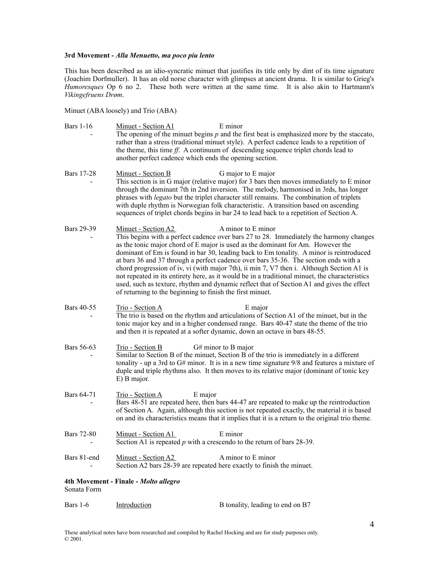### **3rd Movement -** *Alla Menuetto, ma poco piu lento*

This has been described as an idio-syncratic minuet that justifies its title only by dint of its time signature (Joachim Dorfmuller). It has an old norse character with glimpses at ancient drama. It is similar to Grieg's *Humoresques* Op 6 no 2. These both were written at the same time. It is also akin to Hartmann's *Vikingefruens Drøm*.

Minuet (ABA loosely) and Trio (ABA)

- Bars 1-16 Minuet Section A1 E minor The opening of the minuet begins *p* and the first beat is emphasized more by the staccato, rather than a stress (traditional minuet style). A perfect cadence leads to a repetition of the theme, this time *ff*. A continuum of descending sequence triplet chords lead to another perfect cadence which ends the opening section.
- Bars 17-28 Minuet Section B G major to E major This section is in G major (relative major) for 3 bars then moves immediately to E minor through the dominant 7th in 2nd inversion. The melody, harmonised in 3rds, has longer phrases with *legato* but the triplet character still remains. The combination of triplets with duple rhythm is Norwegian folk characteristic. A transition based on ascending sequences of triplet chords begins in bar 24 to lead back to a repetition of Section A.
- Bars 29-39 Minuet Section A2 A minor to E minor This begins with a perfect cadence over bars 27 to 28. Immediately the harmony changes as the tonic major chord of E major is used as the dominant for Am. However the dominant of Em is found in bar 30, leading back to Em tonality. A minor is reintroduced at bars 36 and 37 through a perfect cadence over bars 35-36. The section ends with a chord progression of iv, vi (with major 7th), ii min 7, V7 then i. Although Section A1 is not repeated in its entirety here, as it would be in a traditional minuet, the characteristics used, such as texture, rhythm and dynamic reflect that of Section A1 and gives the effect of returning to the beginning to finish the first minuet.
- Bars 40-55 Trio Section A E major The trio is based on the rhythm and articulations of Section A1 of the minuet, but in the tonic major key and in a higher condensed range. Bars 40-47 state the theme of the trio and then it is repeated at a softer dynamic, down an octave in bars 48-55.
- Bars 56-63 Trio Section B G# minor to B major Similar to Section B of the minuet, Section B of the trio is immediately in a different tonality - up a 3rd to G# minor. It is in a new time signature 9/8 and features a mixture of duple and triple rhythms also. It then moves to its relative major (dominant of tonic key E) B major.
- Bars 64-71 Trio Section A E major Bars 48-51 are repeated here, then bars 44-47 are repeated to make up the reintroduction of Section A. Again, although this section is not repeated exactly, the material it is based on and its characteristics means that it implies that it is a return to the original trio theme.
- Bars 72-80 Minuet Section A1 E minor Section A1 is repeated *p* with a crescendo to the return of bars 28-39.
- Bars 81-end Minuet Section A2 A minor to E minor Section A2 bars 28-39 are repeated here exactly to finish the minuet.

## **4th Movement - Finale -** *Molto allegro* Sonata Form

| B tonality, leading to end on B7 |
|----------------------------------|
|                                  |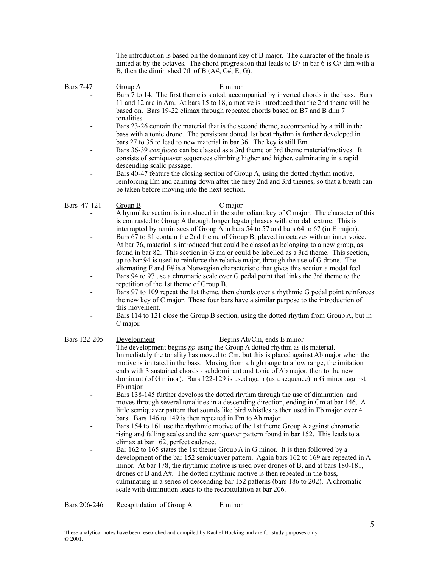- The introduction is based on the dominant key of B major. The character of the finale is hinted at by the octaves. The chord progression that leads to B7 in bar 6 is C# dim with a B, then the diminished 7th of B (A#, C#, E, G).

Bars 7-47 Group A E minor

- Bars 7 to 14. The first theme is stated, accompanied by inverted chords in the bass. Bars 11 and 12 are in Am. At bars 15 to 18, a motive is introduced that the 2nd theme will be based on. Bars 19-22 climax through repeated chords based on B7 and B dim 7 tonalities.
	- Bars 23-26 contain the material that is the second theme, accompanied by a trill in the bass with a tonic drone. The persistant dotted 1st beat rhythm is further developed in bars 27 to 35 to lead to new material in bar 36. The key is still Em.
	- Bars 36-39 *con fuoco* can be classed as a 3rd theme or 3rd theme material/motives. It consists of semiquaver sequences climbing higher and higher, culminating in a rapid descending scalic passage.
	- Bars 40-47 feature the closing section of Group A, using the dotted rhythm motive, reinforcing Em and calming down after the firey 2nd and 3rd themes, so that a breath can be taken before moving into the next section.

## Bars 47-121 Group B C major

- A hymnlike section is introduced in the submediant key of C major. The character of this is contrasted to Group A through longer legato phrases with chordal texture. This is interrupted by reminisces of Group A in bars 54 to 57 and bars 64 to 67 (in E major).
- Bars 67 to 81 contain the 2nd theme of Group B, played in octaves with an inner voice. At bar 76, material is introduced that could be classed as belonging to a new group, as found in bar 82. This section in G major could be labelled as a 3rd theme. This section, up to bar 94 is used to reinforce the relative major, through the use of G drone. The alternating F and F# is a Norwegian characteristic that gives this section a modal feel.
- Bars 94 to 97 use a chromatic scale over G pedal point that links the 3rd theme to the repetition of the 1st theme of Group B.
- Bars 97 to 109 repeat the 1st theme, then chords over a rhythmic G pedal point reinforces the new key of C major. These four bars have a similar purpose to the introduction of this movement.
- Bars 114 to 121 close the Group B section, using the dotted rhythm from Group A, but in C major.

# Bars 122-205 Development Begins Ab/Cm, ends E minor The development begins *pp* using the Group A dotted rhythm as its material.

- Immediately the tonality has moved to Cm, but this is placed against Ab major when the motive is imitated in the bass. Moving from a high range to a low range, the imitation ends with 3 sustained chords - subdominant and tonic of Ab major, then to the new dominant (of G minor). Bars 122-129 is used again (as a sequence) in G minor against Eb major.
- Bars 138-145 further develops the dotted rhythm through the use of diminution and moves through several tonalities in a descending direction, ending in Cm at bar 146. A little semiquaver pattern that sounds like bird whistles is then used in Eb major over 4 bars. Bars 146 to 149 is then repeated in Fm to Ab major.
- Bars 154 to 161 use the rhythmic motive of the 1st theme Group A against chromatic rising and falling scales and the semiquaver pattern found in bar 152. This leads to a climax at bar 162, perfect cadence.
- Bar 162 to 165 states the 1st theme Group A in G minor. It is then followed by a development of the bar 152 semiquaver pattern. Again bars 162 to 169 are repeated in A minor. At bar 178, the rhythmic motive is used over drones of B, and at bars 180-181, drones of B and A#. The dotted rhythmic motive is then repeated in the bass, culminating in a series of descending bar 152 patterns (bars 186 to 202). A chromatic scale with diminution leads to the recapitulation at bar 206.

Bars 206-246 Recapitulation of Group A E minor